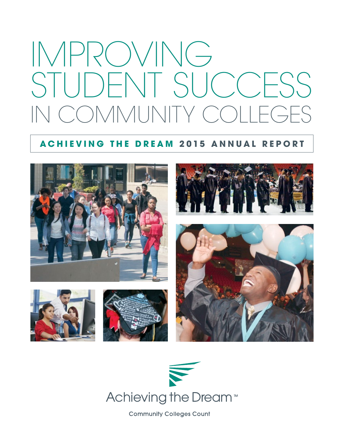# IMPROVING STUDENT SUCCESS COMMUNITY CO

### **ACHIEVING THE DREAM 2015 ANNUAL REPORT**





**Community Colleges Count**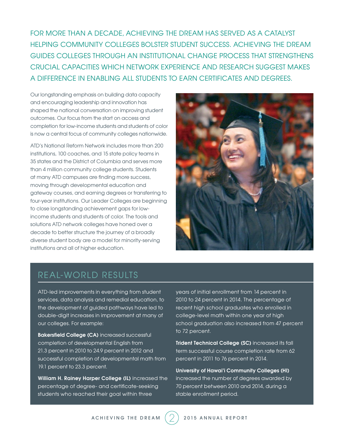FOR MORE THAN A DECADE, ACHIEVING THE DREAM HAS SERVED AS A CATALYST HELPING COMMUNITY COLLEGES BOLSTER STUDENT SUCCESS. ACHIEVING THE DREAM GUIDES COLLEGES THROUGH AN INSTITUTIONAL CHANGE PROCESS THAT STRENGTHENS CRUCIAL CAPACITIES WHICH NETWORK EXPERIENCE AND RESEARCH SUGGEST MAKES A DIFFERENCE IN ENABLING ALL STUDENTS TO EARN CERTIFICATES AND DEGREES.

Our longstanding emphasis on building data capacity and encouraging leadership and innovation has shaped the national conversation on improving student outcomes. Our focus from the start on access and completion for low-income students and students of color is now a central focus of community colleges nationwide.

ATD's National Reform Network includes more than 200 institutions, 100 coaches, and 15 state policy teams in 35 states and the District of Columbia and serves more than 4 million community college students. Students at many ATD campuses are finding more success, moving through developmental education and gateway courses, and earning degrees or transferring to four-year institutions. Our Leader Colleges are beginning to close longstanding achievement gaps for lowincome students and students of color. The tools and solutions ATD network colleges have honed over a decade to better structure the journey of a broadly diverse student body are a model for minority-serving institutions and all of higher education.



## REAL-WORLD RESULTS

ATD-led improvements in everything from student services, data analysis and remedial education, to the development of guided pathways have led to double-digit increases in improvement at many of our colleges. For example:

Bakersfield College (CA) increased successful completion of developmental English from 21.3 percent in 2010 to 24.9 percent in 2012 and successful completion of developmental math from 19.1 percent to 23.3 percent.

William H. Rainey Harper College (IL) increased the percentage of degree- and certificate-seeking students who reached their goal within three

years of initial enrollment from 14 percent in 2010 to 24 percent in 2014. The percentage of recent high school graduates who enrolled in college-level math within one year of high school graduation also increased from 47 percent to 72 percent.

Trident Technical College (SC) increased its fall term successful course completion rate from 62 percent in 2011 to 76 percent in 2014.

University of Hawai'i Community Colleges (HI) increased the number of degrees awarded by 70 percent between 2010 and 2014, during a stable enrollment period.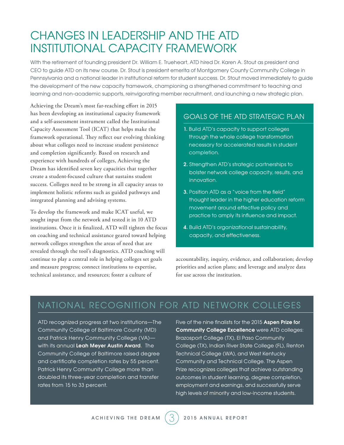## CHANGES IN LEADERSHIP AND THE ATD INSTITUTIONAL CAPACITY FRAMEWORK

With the retirement of founding president Dr. William E. Trueheart, ATD hired Dr. Karen A. Stout as president and CEO to guide ATD on its new course. Dr. Stout is president emerita of Montgomery County Community College in Pennsylvania and a national leader in institutional reform for student success. Dr. Stout moved immediately to guide the development of the new capacity framework, championing a strengthened commitment to teaching and learning and non-academic supports, reinvigorating member recruitment, and launching a new strategic plan.

Achieving the Dream's most far-reaching effort in 2015 has been developing an institutional capacity framework and a self-assessment instrument called the Institutional Capacity Assessment Tool (ICAT) that helps make the framework operational. They reflect our evolving thinking about what colleges need to increase student persistence and completion significantly. Based on research and experience with hundreds of colleges, Achieving the Dream has identified seven key capacities that together create a student-focused culture that sustains student success. Colleges need to be strong in all capacity areas to implement holistic reforms such as guided pathways and integrated planning and advising systems.

To develop the framework and make ICAT useful, we sought input from the network and tested it in 10 ATD institutions. Once it is finalized, ATD will tighten the focus on coaching and technical assistance geared toward helping network colleges strengthen the areas of need that are revealed through the tool's diagnostics. ATD coaching will continue to play a central role in helping colleges set goals and measure progress; connect institutions to expertise, technical assistance, and resources; foster a culture of

#### GOALS OF THE ATD STRATEGIC PLAN

- 1. Build ATD's capacity to support colleges through the whole college transformation necessary for accelerated results in student completion.
- 2. Strengthen ATD's strategic partnerships to bolster network college capacity, results, and innovation.
- **3.** Position ATD as a "voice from the field" thought leader in the higher education reform movement around effective policy and practice to amply its influence and impact.
- 4. Build ATD's organizational sustainability, capacity, and effectiveness.

accountability, inquiry, evidence, and collaboration; develop priorities and action plans; and leverage and analyze data for use across the institution.

## NATIONAL RECOGNITION FOR ATD NETWORK COLLEGES

ATD recognized progress at two institutions—The Community College of Baltimore County (MD) and Patrick Henry Community College (VA) with its annual Leah Meyer Austin Award. The Community College of Baltimore raised degree and certificate completion rates by 55 percent. Patrick Henry Community College more than doubled its three-year completion and transfer rates from 15 to 33 percent.

Five of the nine finalists for the 2015 Aspen Prize for Community College Excellence were ATD colleges: Brazosport College (TX), El Paso Community College (TX), Indian River State College (FL), Renton Technical College (WA), and West Kentucky Community and Technical College. The Aspen Prize recognizes colleges that achieve outstanding outcomes in student learning, degree completion, employment and earnings, and successfully serve high levels of minority and low-income students.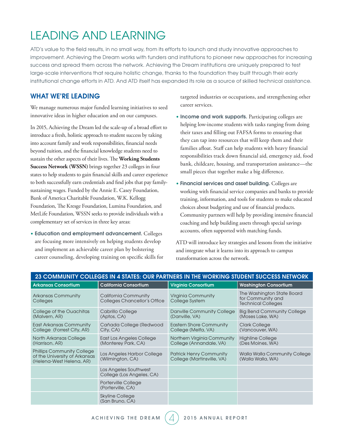# LEADING AND LEARNING

ATD's value to the field results, in no small way, from its efforts to launch and study innovative approaches to improvement. Achieving the Dream works with funders and institutions to pioneer new approaches for increasing success and spread them across the network. Achieving the Dream institutions are uniquely prepared to test large-scale interventions that require holistic change, thanks to the foundation they built through their early institutional change efforts in ATD. And ATD itself has expanded its role as a source of skilled technical assistance.

#### WHAT WE'RE LEADING

We manage numerous major funded learning initiatives to seed innovative ideas in higher education and on our campuses.

In 2015, Achieving the Dream led the scale-up of a broad effort to introduce a fresh, holistic approach to student success by taking into account family and work responsibilities, financial needs beyond tuition, and the financial knowledge students need to sustain the other aspects of their lives. The **Working Students Success Network (WSSN)** brings together 23 colleges in four states to help students to gain financial skills and career experience to both successfully earn credentials and find jobs that pay familysustaining wages. Funded by the Annie E. Casey Foundation, Bank of America Charitable Foundation, W.K. Kellogg Foundation, The Kresge Foundation, Lumina Foundation, and MetLife Foundation, WSSN seeks to provide individuals with a complementary set of services in three key areas:

• Education and employment advancement. Colleges are focusing more intensively on helping students develop and implement an achievable career plan by bolstering career counseling, developing training on specific skills for targeted industries or occupations, and strengthening other career services.

- Income and work supports. Participating colleges are helping low-income students with tasks ranging from doing their taxes and filling out FAFSA forms to ensuring that they can tap into resources that will keep them and their families afloat. Staff can help students with heavy financial responsibilities track down financial aid, emergency aid, food bank, childcare, housing, and transportation assistance—the small pieces that together make a big difference.
- Financial services and asset building. Colleges are working with financial service companies and banks to provide training, information, and tools for students to make educated choices about budgeting and use of financial products. Community partners will help by providing intensive financial coaching and help building assets through special savings accounts, often supported with matching funds.

ATD will introduce key strategies and lessons from the initiative and integrate what it learns into its approach to campus transformation across the network.

| 23 COMMUNITY COLLEGES IN 4 STATES: OUR PARTNERS IN THE WORKING STUDENT SUCCESS NETWORK         |                                                      |                                                              |                                                                              |
|------------------------------------------------------------------------------------------------|------------------------------------------------------|--------------------------------------------------------------|------------------------------------------------------------------------------|
| <b>Arkansas Consortium</b>                                                                     | <b>California Consortium</b>                         | <b>Virginia Consortium</b>                                   | <b>Washington Consortium</b>                                                 |
| <b>Arkansas Community</b><br>Colleges                                                          | California Community<br>Colleges Chancellor's Office | <b>Virginia Community</b><br>College System                  | The Washington State Board<br>for Community and<br><b>Technical Colleges</b> |
| College of the Ouachitas<br>(Malvern, AR)                                                      | Cabrillo College<br>(Aptos, CA)                      | Danville Community College<br>(Danville, VA)                 | <b>Big Bend Community College</b><br>(Moses Lake, WA)                        |
| East Arkansas Community<br>College (Forrest City, AR)                                          | Cañada College (Redwood<br>City, CA)                 | <b>Eastern Shore Community</b><br>College (Melfa, VA)        | <b>Clark College</b><br>(Vancouver, WA)                                      |
| North Arkansas College<br>(Harrison, AR)                                                       | East Los Angeles College<br>(Monterey Park, CA)      | Northern Virginia Community<br>College (Annandale, VA)       | <b>Highline College</b><br>(Des Moines, WA)                                  |
| <b>Phillips Community College</b><br>of the University of Arkansas<br>(Helena-West Helena, AR) | Los Angeles Harbor College<br>(Wilmington, CA)       | <b>Patrick Henry Community</b><br>College (Martinsville, VA) | Walla Walla Community College<br>(Walla Walla, WA)                           |
|                                                                                                | Los Angeles Southwest<br>College (Los Angeles, CA)   |                                                              |                                                                              |
|                                                                                                | Porterville College<br>(Porterville, CA)             |                                                              |                                                                              |
|                                                                                                | <b>Skyline College</b><br>(San Bruno, CA)            |                                                              |                                                                              |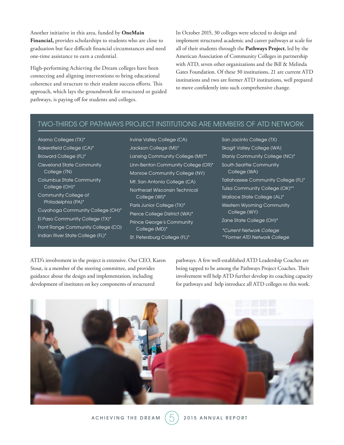Another initiative in this area, funded by **OneMain Financial,** provides scholarships to students who are close to graduation but face difficult financial circumstances and need one-time assistance to earn a credential.

High-performing Achieving the Dream colleges have been connecting and aligning interventions to bring educational coherence and structure to their student success efforts. This approach, which lays the groundwork for structured or guided pathways, is paying off for students and colleges.

In October 2015, 30 colleges were selected to design and implement structured academic and career pathways at scale for all of their students through the **Pathways Project**, led by the American Association of Community Colleges in partnership with ATD, seven other organizations and the Bill & Melinda Gates Foundation. Of these 30 institutions, 21 are current ATD institutions and two are former ATD institutions, well prepared to move confidently into such comprehensive change.

#### TWO-THIRDS OF PATHWAYS PROJECT INSTITUTIONS ARE MEMBERS OF ATD NETWORK

Alamo Colleges (TX)\* Bakersfield College (CA)\* Broward College (FL)\* Cleveland State Community College (TN) Columbus State Community College (OH)\* Community College of Philadelphia (PA)\* Cuyahoga Community College (OH)\* El Paso Community College (TX)\* Front Range Community College (CO) Indian River State College (FL)\*

Irvine Valley College (CA) Jackson College (MI)\* Lansing Community College (MI)\*\* Linn-Benton Community College (OR)\* Monroe Community College (NY) Mt. San Antonio College (CA) Northeast Wisconsin Technical College (WI)\* Paris Junior College (TX)\* Pierce College District (WA)\* Prince George's Community College (MD)\* St. Petersburg College (FL)\*

San Jacinto College (TX) Skagit Valley College (WA) Stanly Community College (NC)\* South Seattle Community College (WA) Tallahassee Community College (FL)\* Tulsa Community College (OK)\*\* Wallace State College (AL)\* Western Wyoming Community College (WY) Zane State College (OH)\* *\*Current Network College*

*\*\*Former ATD Network College*

ATD's involvement in the project is extensive. Our CEO, Karen Stout, is a member of the steering committee, and provides guidance about the design and implementation, including development of institutes on key components of structured

pathways. A few well-established ATD Leadership Coaches are being tapped to be among the Pathways Project Coaches. Their involvement will help ATD further develop its coaching capacity for pathways and help introduce all ATD colleges to this work.

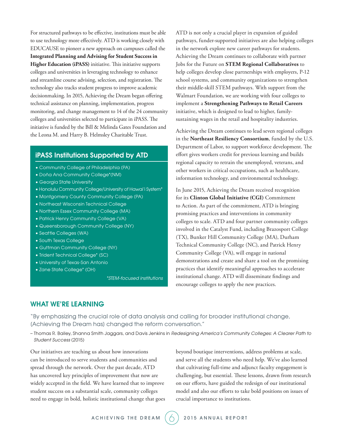For structured pathways to be effective, institutions must be able to use technology more effectively. ATD is working closely with EDUCAUSE to pioneer a new approach on campuses called the **Integrated Planning and Advising for Student Success in Higher Education (iPASS)** initiative. This initiative supports colleges and universities in leveraging technology to enhance and streamline course advising, selection, and registration. The technology also tracks student progress to improve academic decisionmaking. In 2015, Achieving the Dream began offering technical assistance on planning, implementation, progress monitoring, and change management to 14 of the 24 community colleges and universities selected to participate in iPASS. The initiative is funded by the Bill & Melinda Gates Foundation and the Leona M. and Harry B. Helmsley Charitable Trust.

#### iPASS Institutions Supported by ATD

- Community College of Philadelphia (PA)
- Doña Ana Community College\*(NM)
- Georgia State University
- Honolulu Community College/University of Hawai'i System\*
- Montgomery County Community College (PA)
- Northeast Wisconsin Technical College
- Northern Essex Community College (MA)
- Patrick Henry Community College (VA)
- Queensborough Community College (NY)
- Seattle Colleges (WA)
- South Texas College
- Guttman Community College (NY)
- Trident Technical College\* (SC)
- University of Texas-San Antonio
- Zane State College\* (OH)

*\*STEM-focused institutions*

ATD is not only a crucial player in expansion of guided pathways, funder-supported initiatives are also helping colleges in the network explore new career pathways for students. Achieving the Dream continues to collaborate with partner Jobs for the Future on **STEM Regional Collaboratives** to help colleges develop close partnerships with employers, P-12 school systems, and community organizations to strengthen their middle-skill STEM pathways. With support from the Walmart Foundation, we are working with four colleges to implement a **Strengthening Pathways to Retail Careers**  initiative, which is designed to lead to higher, familysustaining wages in the retail and hospitality industries.

Achieving the Dream continues to lead seven regional colleges in the **Northeast Resiliency Consortium**, funded by the U.S. Department of Labor, to support workforce development. The effort gives workers credit for previous learning and builds regional capacity to retrain the unemployed, veterans, and other workers in critical occupations, such as healthcare, information technology, and environmental technology.

In June 2015, Achieving the Dream received recognition for its **Clinton Global Initiative (CGI)** Commitment to Action. As part of the commitment, ATD is bringing promising practices and interventions in community colleges to scale. ATD and four partner community colleges involved in the Catalyst Fund, including Brazosport College (TX), Bunker Hill Community College (MA), Durham Technical Community College (NC), and Patrick Henry Community College (VA), will engage in national demonstrations and create and share a tool on the promising practices that identify meaningful approaches to accelerate institutional change. ATD will disseminate findings and encourage colleges to apply the new practices.

#### WHAT WE'RE LEARNING

"By emphasizing the crucial role of data analysis and calling for broader institutional change, [Achieving the Dream has] changed the reform conversation."

– Thomas R. Bailey, Shanna Smith Jaggars, and Davis Jenkins in *Redesigning America's Community Colleges: A Clearer Path to Student Success* (2015)

Our initiatives are teaching us about how innovations can be introduced to serve students and communities and spread through the network. Over the past decade, ATD has uncovered key principles of improvement that now are widely accepted in the field. We have learned that to improve student success on a substantial scale, community colleges need to engage in bold, holistic institutional change that goes beyond boutique interventions, address problems at scale, and serve all the students who need help. We've also learned that cultivating full-time and adjunct faculty engagement is challenging, but essential. These lessons, drawn from research on our efforts, have guided the redesign of our institutional model and also our efforts to take bold positions on issues of crucial importance to institutions.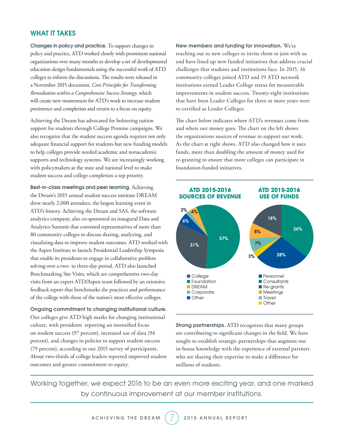#### WHAT IT TAKES

Changes in policy and practice. To support changes in policy and practice, ATD worked closely with prominent national organizations over many months to develop a set of developmental education design fundamentals using the successful work of ATD colleges to inform the discussions. The results were released in a November 2015 document, *Core Principles for Transforming Remediation within a Comprehensive Success Strategy,* which will create new momentum for ATD's work to increase student persistence and completion and return to a focus on equity.

Achieving the Dream has advocated for bolstering tuition support for students through College Promise campaigns. We also recognize that the student success agenda requires not only adequate financial support for students but new funding models to help colleges provide needed academic and nonacademic supports and technology systems. We are increasingly working with policymakers at the state and national level to make student success and college completion a top priority.

Best-in-class meetings and peer learning. Achieving the Dream's 2015 annual student success institute DREAM drew nearly 2,000 attendees, the largest learning event in ATD's history. Achieving the Dream and SAS, the software analytics company, also co-sponsored an inaugural Data and Analytics Summit that convened representatives of more than 80 community colleges to discuss sharing, analyzing, and visualizing data to improve student outcomes. ATD worked with the Aspen Institute to launch Presidential Leadership Symposia that enable its presidents to engage in collaborative problem solving over a two- to three-day period. ATD also launched Benchmarking Site Visits, which are comprehensive two-day visits from an expert ATD/Aspen team followed by an extensive feedback report that benchmarks the practices and performance of the college with those of the nation's most effective colleges.

Ongoing commitment to changing institutional culture. Our colleges give ATD high marks for changing institutional culture, with presidents reporting an intensified focus on student success (97 percent), increased use of data (94 percent), and changes in policies to support student success (79 percent), according to our 2015 survey of participants. About two-thirds of college leaders reported improved student outcomes and greater commitment to equity.

New members and funding for innovation. We're reaching out to new colleges to invite them to join with us and have lined up new funded initiatives that address crucial challenges that students and institutions face. In 2015, 16 community colleges joined ATD and 19 ATD network institutions earned Leader College status for measureable improvements in student success. Twenty-eight institutions that have been Leader Colleges for three or more years were re-certified as Leader Colleges.

The chart below indicates where ATD's revenues come from and where our money goes. The chart on the left shows the organizations sources of revenue to support our work. As the chart at right shows, ATD also changed how it uses funds, more than doubling the amount of money used for re-granting to ensure that more colleges can participate in foundation-funded initiatives.



Strong partnerships. ATD recognizes that many groups are contributing to significant changes in the field. We have sought to establish strategic partnerships that augment our in-house knowledge with the experience of external partners who are sharing their expertise to make a difference for millions of students.

Working together, we expect 2016 to be an even more exciting year, and one marked by continuous improvement at our member institutions.